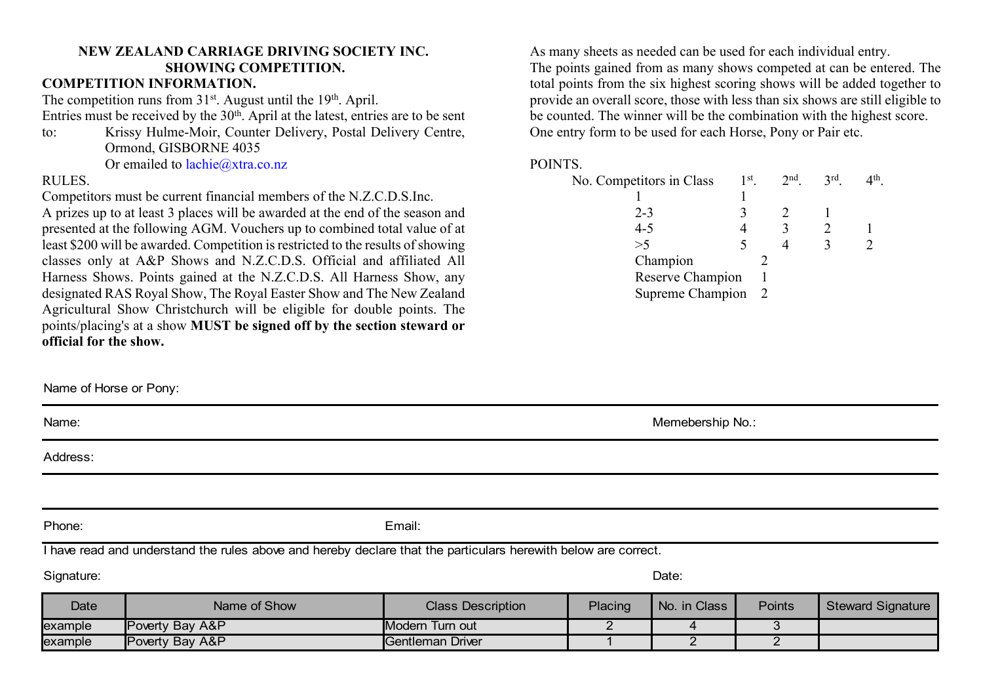## **NEW ZEALAND CARRIAGE DRIVING SOCIETY INC. SHOWING COMPETITION.**

## **COMPETITION INFORMATION.**

The competition runs from  $31<sup>st</sup>$ . August until the 19<sup>th</sup>. April.

Entries must be received by the 30th. April at the latest, entries are to be sent

to: Krissy Hulme-Moir, Counter Delivery, Postal Delivery Centre, Ormond, GISBORNE 4035

Or emailed to [lachie@xtra.co.nz](mailto:lachie@xtra.co.nz)

## RULES.

Competitors must be current financial members of the N.Z.C.D.S.Inc.

A prizes up to at least 3 places will be awarded at the end of the season and presented at the following AGM. Vouchers up to combined total value of at least \$200 will be awarded. Competition is restricted to the results of showing classes only at A&P Shows and N.Z.C.D.S. Official and affiliated All Harness Shows. Points gained at the N.Z.C.D.S. All Harness Show, any designated RAS Royal Show, The Royal Easter Show and The New Zealand Agricultural Show Christchurch will be eligible for double points. The points/placing's at a show **MUST be signed off by the section steward or official for the show.**

As many sheets as needed can be used for each individual entry. The points gained from as many shows competed at can be entered. The total points from the six highest scoring shows will be added together to provide an overall score, those with less than six shows are still eligible to be counted. The winner will be the combination with the highest score. One entry form to be used for each Horse, Pony or Pair etc.

## POINTS.

| No. Competitors in Class             | $1st$ . |                | $2nd$ . | 3rd | ⊿th |
|--------------------------------------|---------|----------------|---------|-----|-----|
|                                      |         |                |         |     |     |
| $2 - 3$                              |         |                |         |     |     |
| $4 - 5$                              |         |                |         |     |     |
| >5                                   |         |                |         |     |     |
| Champion                             |         |                |         |     |     |
| Reserve Champion<br>Supreme Champion |         |                |         |     |     |
|                                      |         | $\overline{2}$ |         |     |     |

Memebership No.:

| Name: |  |  |  |
|-------|--|--|--|
|       |  |  |  |

Address:

Name of Horse or Pony:

Phone: Email:

I have read and understand the rules above and hereby declare that the particulars herewith below are correct.

Signature: Date:

| <b>Date</b> | Name of Show                | <b>Class Description</b> | <b>Placing</b> | No. in Class | <b>Points</b> | <b>Steward Signature</b> |
|-------------|-----------------------------|--------------------------|----------------|--------------|---------------|--------------------------|
| example     | <b>Poverty Bay A&amp;P</b>  | <b>IModern Turn out</b>  |                |              |               |                          |
| example     | <b>IPoverty Bay A&amp;P</b> | Gentleman Driver         |                |              |               |                          |